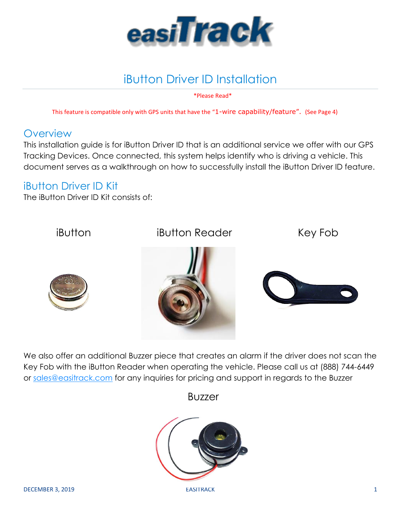

\*Please Read\*

This feature is compatible only with GPS units that have the "1-wire capability/feature". (See Page 4)

#### **Overview**

This installation guide is for iButton Driver ID that is an additional service we offer with our GPS Tracking Devices. Once connected, this system helps identify who is driving a vehicle. This document serves as a walkthrough on how to successfully install the iButton Driver ID feature.

#### iButton Driver ID Kit

The iButton Driver ID Kit consists of:



We also offer an additional Buzzer piece that creates an alarm if the driver does not scan the Key Fob with the iButton Reader when operating the vehicle. Please call us at (888) 744-6449 or [sales@easitrack.com](mailto:sales@easitrack.com) for any inquiries for pricing and support in regards to the Buzzer

## Buzzer

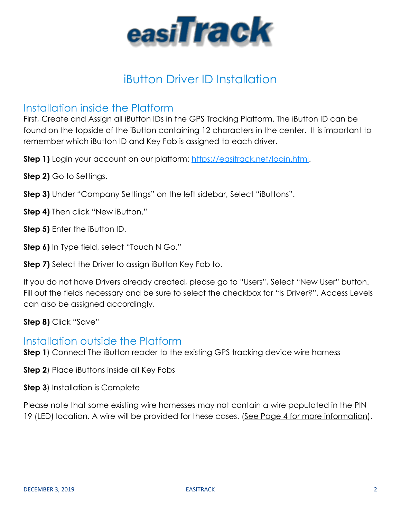

#### Installation inside the Platform

First, Create and Assign all iButton IDs in the GPS Tracking Platform. The iButton ID can be found on the topside of the iButton containing 12 characters in the center. It is important to remember which iButton ID and Key Fob is assigned to each driver.

**Step 1)** Login your account on our platform: [https://easitrack.net/login.html.](https://easitrack.net/login.html)

**Step 2)** Go to Settings.

**Step 3)** Under "Company Settings" on the left sidebar, Select "iButtons".

**Step 4)** Then click "New iButton."

**Step 5)** Enter the iButton ID.

**Step 6)** In Type field, select "Touch N Go."

**Step 7)** Select the Driver to assign iButton Key Fob to.

If you do not have Drivers already created, please go to "Users", Select "New User" button. Fill out the fields necessary and be sure to select the checkbox for "Is Driver?". Access Levels can also be assigned accordingly.

**Step 8)** Click "Save"

#### Installation outside the Platform

**Step 1**) Connect The iButton reader to the existing GPS tracking device wire harness

**Step 2**) Place iButtons inside all Key Fobs

**Step 3**) Installation is Complete

Please note that some existing wire harnesses may not contain a wire populated in the PIN 19 (LED) location. A wire will be provided for these cases. (See Page 4 for more information).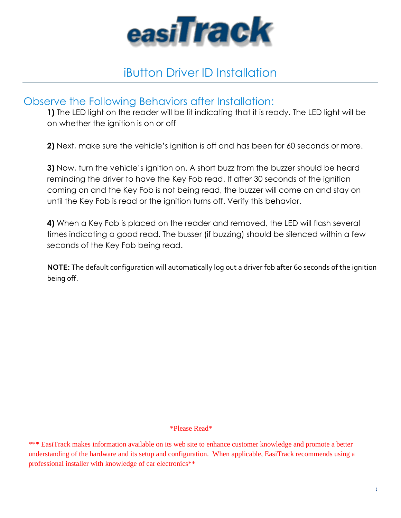

#### Observe the Following Behaviors after Installation:

**1)** The LED light on the reader will be lit indicating that it is ready. The LED light will be on whether the ignition is on or off

**2)** Next, make sure the vehicle's ignition is off and has been for 60 seconds or more.

**3)** Now, turn the vehicle's ignition on. A short buzz from the buzzer should be heard reminding the driver to have the Key Fob read. If after 30 seconds of the ignition coming on and the Key Fob is not being read, the buzzer will come on and stay on until the Key Fob is read or the ignition turns off. Verify this behavior.

**4)** When a Key Fob is placed on the reader and removed, the LED will flash several times indicating a good read. The busser (if buzzing) should be silenced within a few seconds of the Key Fob being read.

**NOTE:** The default configuration will automatically log out a driver fob after 60 seconds of the ignition being off.

#### \*Please Read\*

\*\*\* EasiTrack makes information available on its web site to enhance customer knowledge and promote a better understanding of the hardware and its setup and configuration. When applicable, EasiTrack recommends using a professional installer with knowledge of car electronics\*\*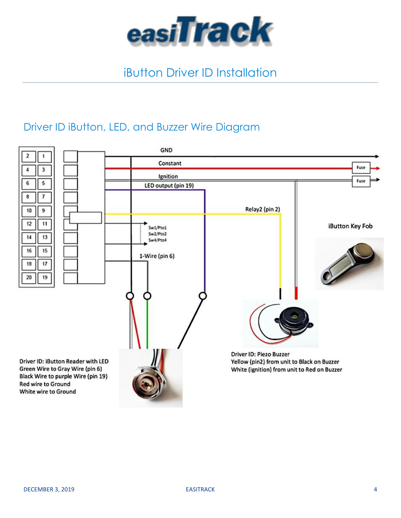

### Driver ID iButton, LED, and Buzzer Wire Diagram